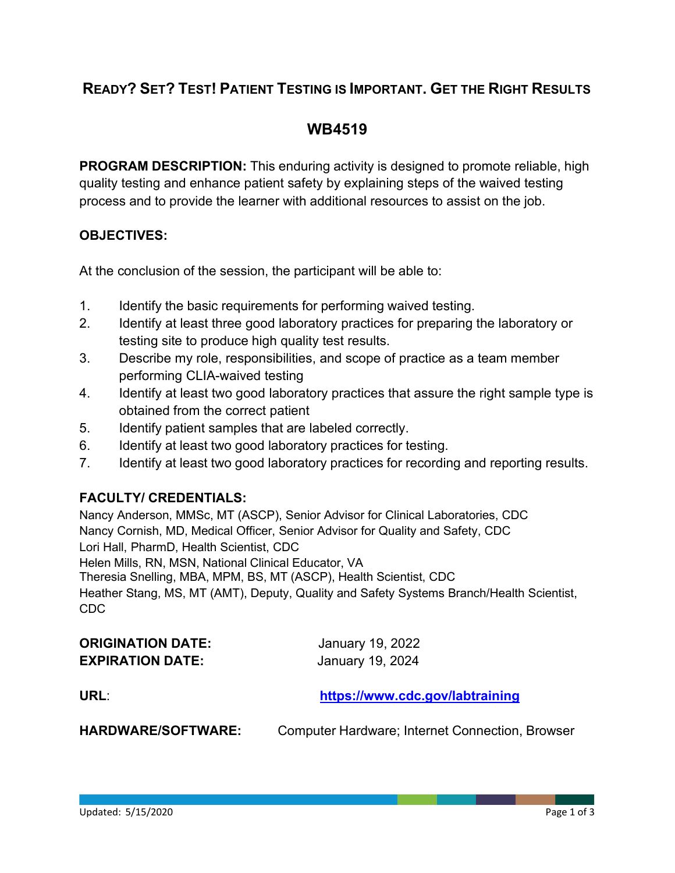## **READY? SET? TEST! PATIENT TESTING IS IMPORTANT. GET THE RIGHT RESULTS**

## **WB4519**

**PROGRAM DESCRIPTION:** This enduring activity is designed to promote reliable, high quality testing and enhance patient safety by explaining steps of the waived testing process and to provide the learner with additional resources to assist on the job.

#### **OBJECTIVES:**

At the conclusion of the session, the participant will be able to:

- 1. Identify the basic requirements for performing waived testing.
- 2. Identify at least three good laboratory practices for preparing the laboratory or testing site to produce high quality test results.
- 3. Describe my role, responsibilities, and scope of practice as a team member performing CLIA-waived testing
- 4. Identify at least two good laboratory practices that assure the right sample type is obtained from the correct patient
- 5. Identify patient samples that are labeled correctly.
- 6. Identify at least two good laboratory practices for testing.
- 7. Identify at least two good laboratory practices for recording and reporting results.

#### **FACULTY/ CREDENTIALS:**

Nancy Anderson, MMSc, MT (ASCP), Senior Advisor for Clinical Laboratories, CDC Nancy Cornish, MD, Medical Officer, Senior Advisor for Quality and Safety, CDC Lori Hall, PharmD, Health Scientist, CDC Helen Mills, RN, MSN, National Clinical Educator, VA Theresia Snelling, MBA, MPM, BS, MT (ASCP), Health Scientist, CDC Heather Stang, MS, MT (AMT), Deputy, Quality and Safety Systems Branch/Health Scientist, CDC

| <b>ORIGINATION DATE:</b> | January 19, 2022                |
|--------------------------|---------------------------------|
| <b>EXPIRATION DATE:</b>  | January 19, 2024                |
| URL:                     | https://www.cdc.gov/labtraining |

**HARDWARE/SOFTWARE:** Computer Hardware; Internet Connection, Browser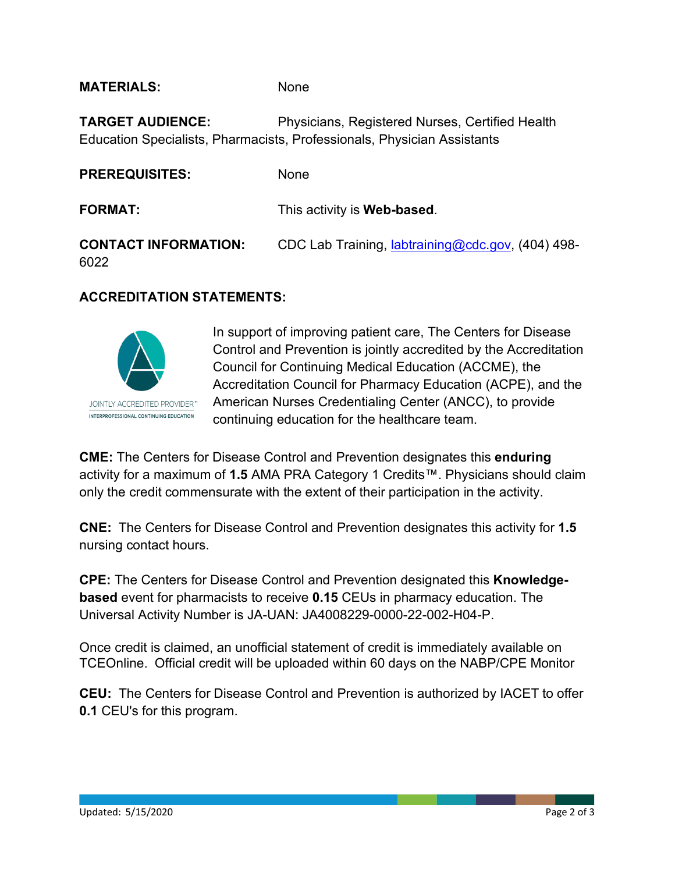**MATERIALS:** None

**TARGET AUDIENCE:** Physicians, Registered Nurses, Certified Health Education Specialists, Pharmacists, Professionals, Physician Assistants

| <b>PREREQUISITES:</b>               | None                                                      |
|-------------------------------------|-----------------------------------------------------------|
| <b>FORMAT:</b>                      | This activity is <b>Web-based</b> .                       |
| <b>CONTACT INFORMATION:</b><br>6022 | CDC Lab Training, <i>labtraining@cdc.gov</i> , (404) 498- |

#### **ACCREDITATION STATEMENTS:**



In support of improving patient care, The Centers for Disease Control and Prevention is jointly accredited by the Accreditation Council for Continuing Medical Education (ACCME), the Accreditation Council for Pharmacy Education (ACPE), and the American Nurses Credentialing Center (ANCC), to provide continuing education for the healthcare team.

**CME:** The Centers for Disease Control and Prevention designates this **enduring** activity for a maximum of **1.5** AMA PRA Category 1 Credits™. Physicians should claim only the credit commensurate with the extent of their participation in the activity.

**CNE:** The Centers for Disease Control and Prevention designates this activity for **1.5** nursing contact hours.

**CPE:** The Centers for Disease Control and Prevention designated this **Knowledgebased** event for pharmacists to receive **0.15** CEUs in pharmacy education. The Universal Activity Number is JA-UAN: JA4008229-0000-22-002-H04-P.

Once credit is claimed, an unofficial statement of credit is immediately available on TCEOnline. Official credit will be uploaded within 60 days on the NABP/CPE Monitor

**CEU:** The Centers for Disease Control and Prevention is authorized by IACET to offer **0.1** CEU's for this program.